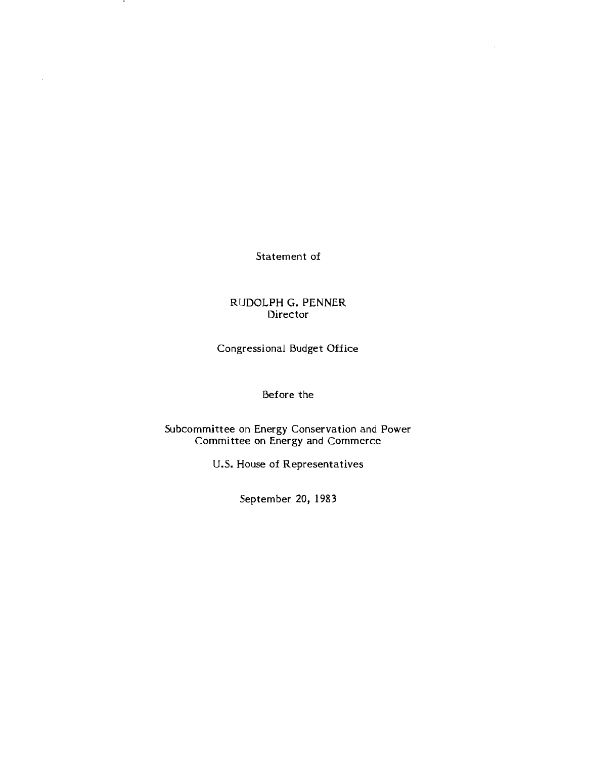Statement of

## RUDOLPH **G.** PENNER Director

Congressional Budget Office

## Before the

Subcommittee on Energy Conservation and Power Committee on Energy and Commerce

U.S. House of Representatives

September 20, 1983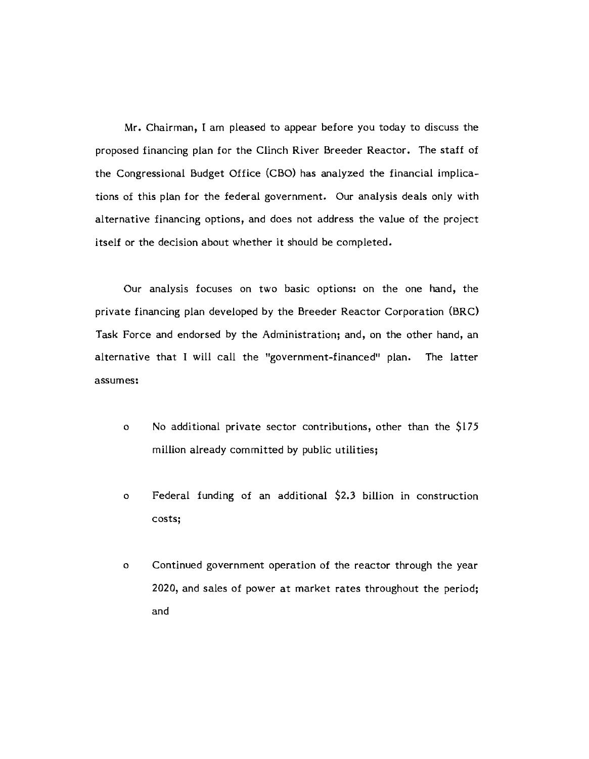Mr. Chairman, I am pleased to appear before you today to discuss the proposed financing plan for the Clinch River Breeder Reactor. The staff of the Congressional Budget Office (CBO) has analyzed the financial implications of this plan for the federal government. Our analysis deals only with alternative financing options, and does not address the value of the project itself or the decision about whether it should be completed.

Our analysis focuses on two basic options: on the one hand, the private financing plan developed by the Breeder Reactor Corporation (BRC) Task Force and endorsed by the Administration; and, on the other hand, an alternative that I will call the "government-financed" plan. The latter assumes:

- o No additional private sector contributions, other than the  $$175$ million already committed by public utilities;
- o Federal funding of an additional \$2.3 billion in construction costs;
- o Continued government operation of the reactor through the year 2020, and sales of power at market rates throughout the period; and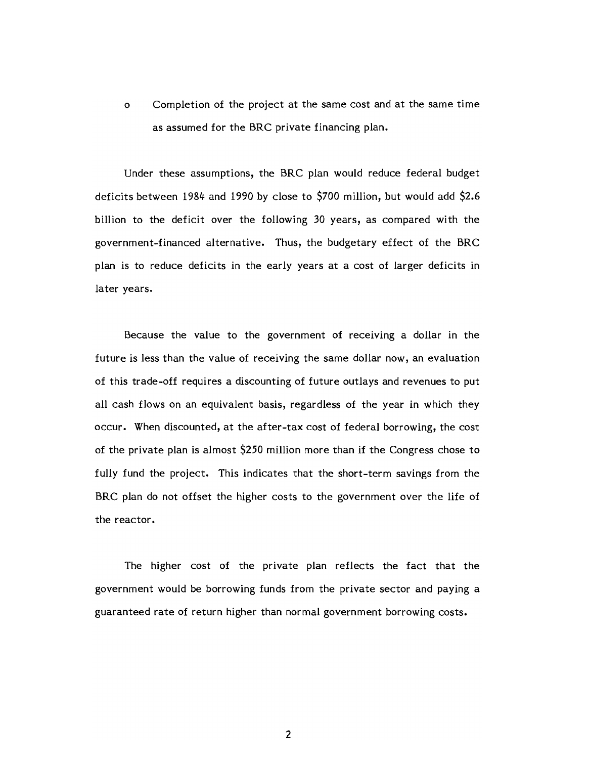o Completion of the project at the same cost and at the same time as assumed for the BRC private financing plan.

Under these assumptions, the BRC plan would reduce federal budget deficits between 1984 and 1990 by close to \$700 million, but would add \$2.6 billion to the deficit over the following 30 years, as compared with the government-financed alternative. Thus, the budgetary effect of the BRC plan is to reduce deficits in the early years at a cost of larger deficits in later years.

Because the value to the government of receiving a dollar in the future is less than the value of receiving the same dollar now, an evaluation of this trade-off requires a discounting of future outlays and revenues to put all cash flows on an equivalent basis, regardless of the year in which they occur. When discounted, at the after-tax cost of federal borrowing, the cost of the private plan is almost \$250 million more than if the Congress chose to fully fund the project. This indicates that the short-term savings from the BRC plan do not offset the higher costs to the government over the life of the reactor.

The higher cost of the private plan reflects the fact that the government would be borrowing funds from the private sector and paying a guaranteed rate of return higher than normal government borrowing costs.

2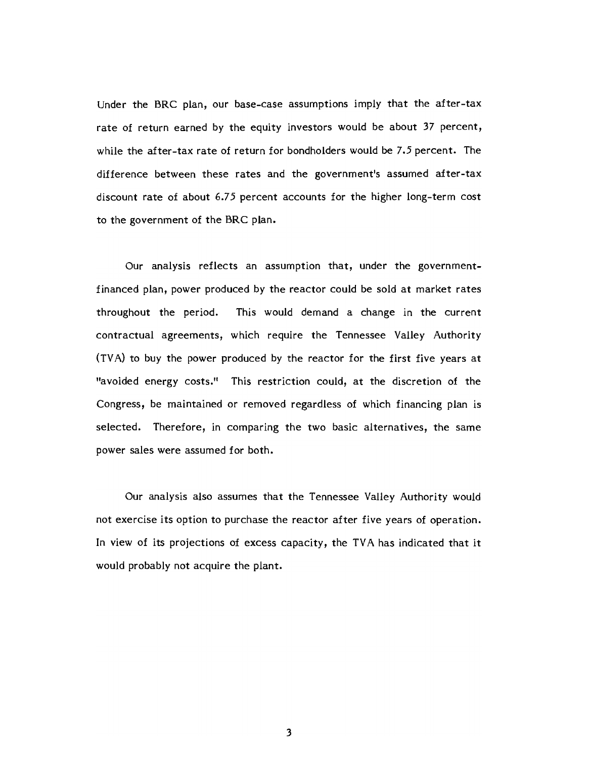Under the BRC plan, our base-case assumptions imply that the after-tax rate of return earned by the equity investors would be about 37 percent, while the after-tax rate of return for bondholders would be 7.5 percent. The difference between these rates and the government's assumed after-tax discount rate of about 6.75 percent accounts for the higher long-term cost to the government of the BRC plan.

Our analysis reflects an assumption that, under the governmentfinanced plan, power produced by the reactor could be sold at market rates throughout the period. This would demand a change in the current contractual agreements, which require the Tennessee Valley Authority (TVA) to buy the power produced by the reactor for the first five years at "avoided energy costs." This restriction could, at the discretion of the Congress, be maintained or removed regardless of which financing plan is selected. Therefore, in comparing the two basic alternatives, the same power sales were assumed for both.

Our analysis also assumes that the Tennessee Valley Authority would not exercise its option to purchase the reactor after five years of operation. In view of its projections of excess capacity, the TVA has indicated that it would probably not acquire the plant.

3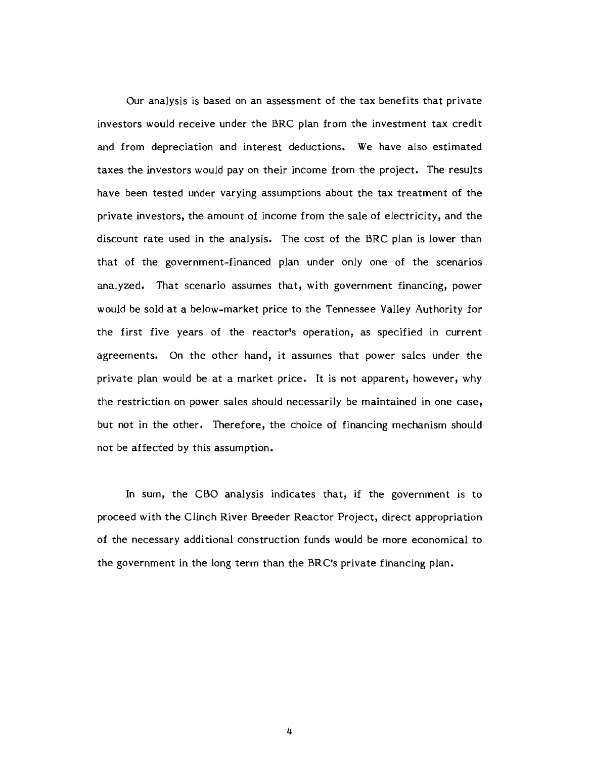Our analysis is based on an assessment of the tax benefits that private investors would receive under the BRC plan from the investment tax credit and from depreciation and interest deductions. We have also estimated taxes the investors would pay on their income from the project. The results have been tested under varying assumptions about the tax treatment of the private investors, the amount of income from the sale of electricity, and the discount rate used in the analysis. The cost of the BRC plan is lower than that of the government-financed plan under only one of the scenarios analyzed. That scenario assumes that, with government financing, power would be sold at a below-market price to the Tennessee Valley Authority for the first five years of the reactor's operation, as specified in current agreements. On the other hand, it assumes that power sales under the private plan would be at a market price. It is not apparent, however, why the restriction on power sales should necessarily be maintained in one case, but not in the other. Therefore, the choice of financing mechanism should not be affected by this assumption.

In sum, the CBO analysis indicates that, if the government is to proceed with the Clinch River Breeder Reactor Project, direct appropriation of the necessary additional construction funds would be more economical to the government in the long term than the BRC's private financing plan.